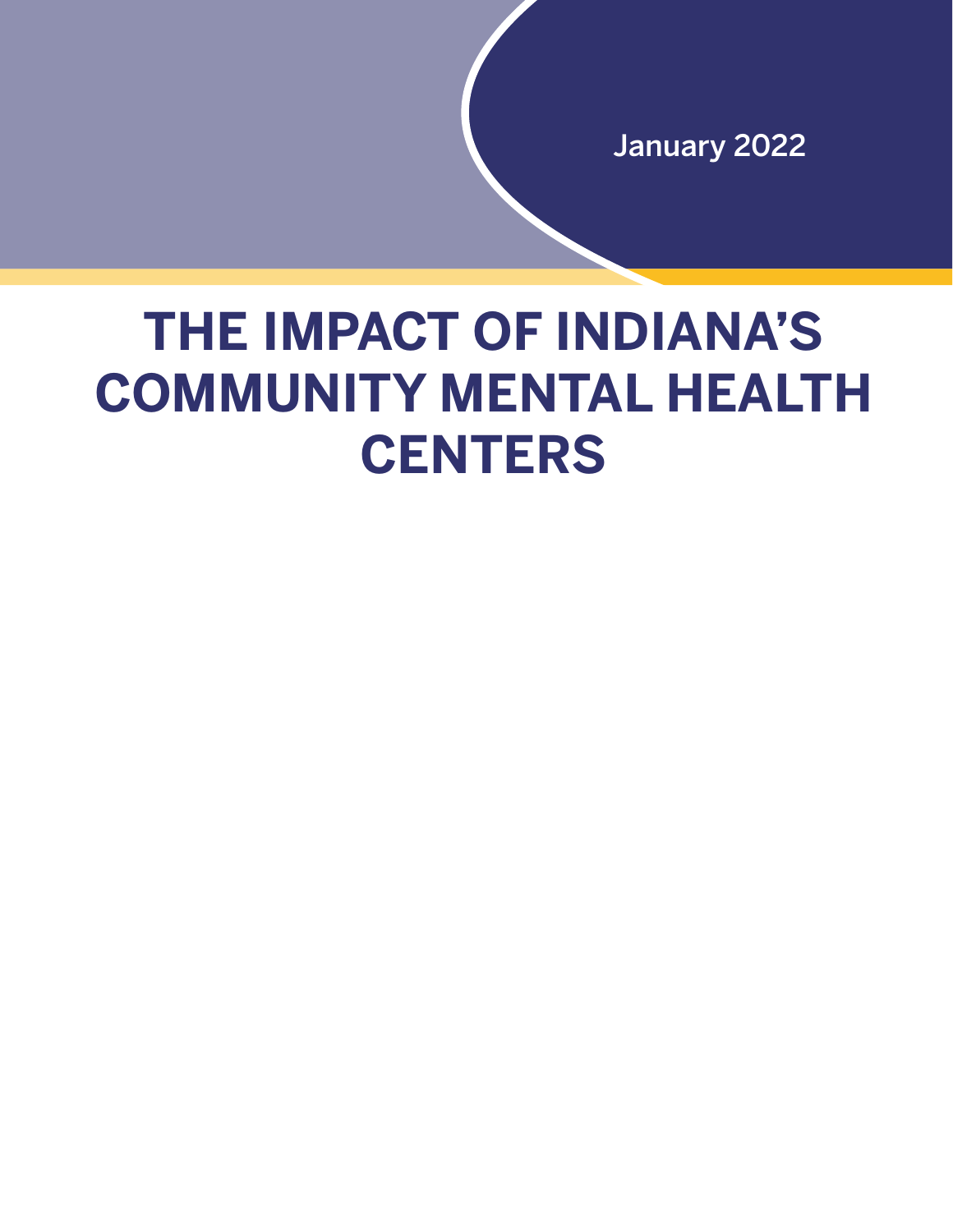January 2022

# **THE IMPACT OF INDIANA'S COMMUNITY MENTAL HEALTH CENTERS**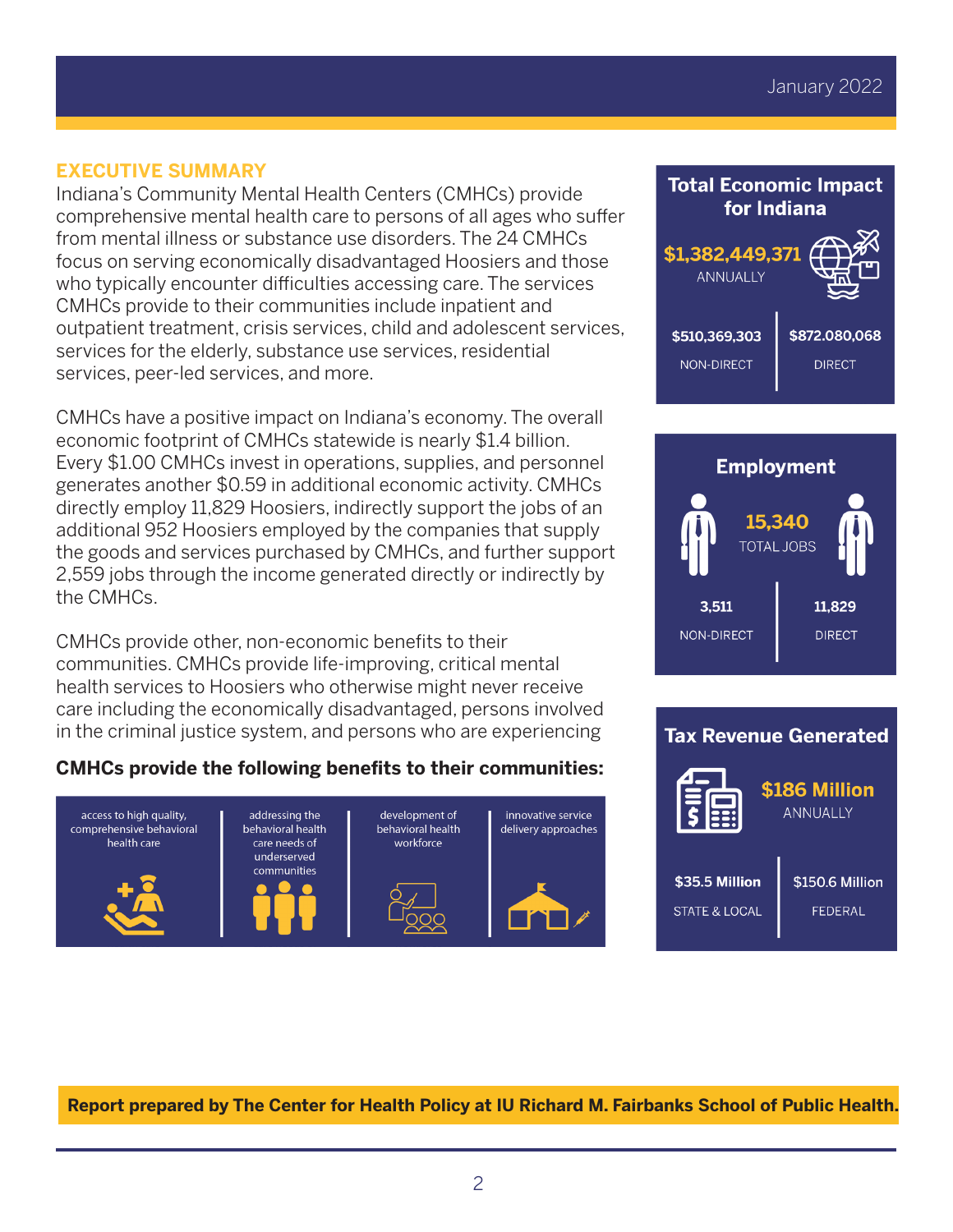#### **EXECUTIVE SUMMARY**

Indiana's Community Mental Health Centers (CMHCs) provide comprehensive mental health care to persons of all ages who suffer from mental illness or substance use disorders. The 24 CMHCs focus on serving economically disadvantaged Hoosiers and those who typically encounter difficulties accessing care. The services CMHCs provide to their communities include inpatient and outpatient treatment, crisis services, child and adolescent services, services for the elderly, substance use services, residential services, peer-led services, and more.

CMHCs have a positive impact on Indiana's economy. The overall economic footprint of CMHCs statewide is nearly \$1.4 billion. Every \$1.00 CMHCs invest in operations, supplies, and personnel generates another \$0.59 in additional economic activity. CMHCs directly employ 11,829 Hoosiers, indirectly support the jobs of an additional 952 Hoosiers employed by the companies that supply the goods and services purchased by CMHCs, and further support 2,559 jobs through the income generated directly or indirectly by the CMHCs.

CMHCs provide other, non-economic benefits to their communities. CMHCs provide life-improving, critical mental health services to Hoosiers who otherwise might never receive care including the economically disadvantaged, persons involved in the criminal justice system, and persons who are experiencing

## **CMHCs provide the following benefits to their communities:**









**Report prepared by The Center for Health Policy at IU Richard M. Fairbanks School of Public Health.**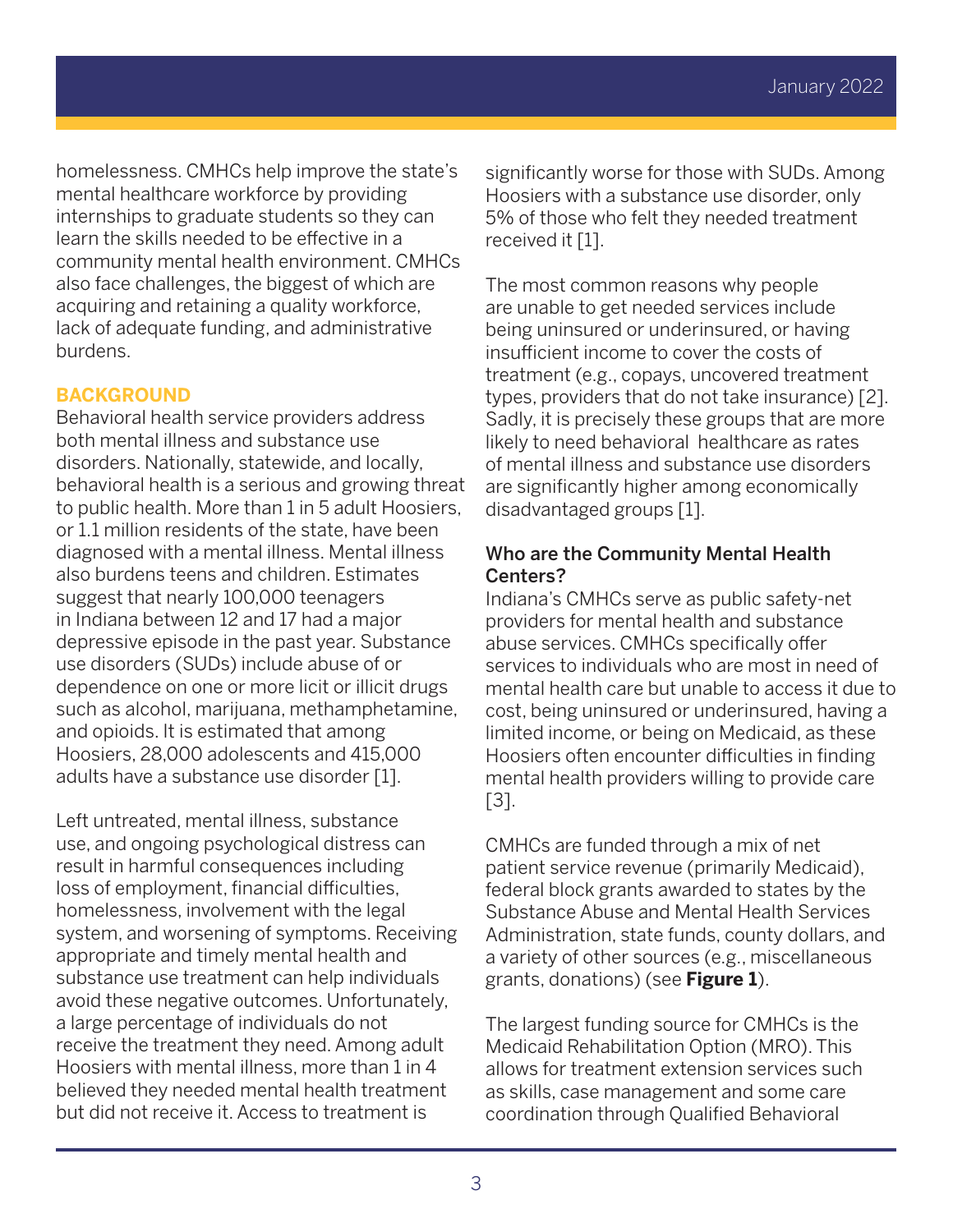homelessness. CMHCs help improve the state's mental healthcare workforce by providing internships to graduate students so they can learn the skills needed to be effective in a community mental health environment. CMHCs also face challenges, the biggest of which are acquiring and retaining a quality workforce, lack of adequate funding, and administrative burdens.

#### **BACKGROUND**

Behavioral health service providers address both mental illness and substance use disorders. Nationally, statewide, and locally, behavioral health is a serious and growing threat to public health. More than 1 in 5 adult Hoosiers, or 1.1 million residents of the state, have been diagnosed with a mental illness. Mental illness also burdens teens and children. Estimates suggest that nearly 100,000 teenagers in Indiana between 12 and 17 had a major depressive episode in the past year. Substance use disorders (SUDs) include abuse of or dependence on one or more licit or illicit drugs such as alcohol, marijuana, methamphetamine, and opioids. It is estimated that among Hoosiers, 28,000 adolescents and 415,000 adults have a substance use disorder [1].

Left untreated, mental illness, substance use, and ongoing psychological distress can result in harmful consequences including loss of employment, financial difficulties, homelessness, involvement with the legal system, and worsening of symptoms. Receiving appropriate and timely mental health and substance use treatment can help individuals avoid these negative outcomes. Unfortunately, a large percentage of individuals do not receive the treatment they need. Among adult Hoosiers with mental illness, more than 1 in 4 believed they needed mental health treatment but did not receive it. Access to treatment is

significantly worse for those with SUDs. Among Hoosiers with a substance use disorder, only 5% of those who felt they needed treatment received it [1].

The most common reasons why people are unable to get needed services include being uninsured or underinsured, or having insufficient income to cover the costs of treatment (e.g., copays, uncovered treatment types, providers that do not take insurance) [2]. Sadly, it is precisely these groups that are more likely to need behavioral healthcare as rates of mental illness and substance use disorders are significantly higher among economically disadvantaged groups [1].

## Who are the Community Mental Health Centers?

Indiana's CMHCs serve as public safety-net providers for mental health and substance abuse services. CMHCs specifically offer services to individuals who are most in need of mental health care but unable to access it due to cost, being uninsured or underinsured, having a limited income, or being on Medicaid, as these Hoosiers often encounter difficulties in finding mental health providers willing to provide care [3].

CMHCs are funded through a mix of net patient service revenue (primarily Medicaid), federal block grants awarded to states by the Substance Abuse and Mental Health Services Administration, state funds, county dollars, and a variety of other sources (e.g., miscellaneous grants, donations) (see **Figure 1**).

The largest funding source for CMHCs is the Medicaid Rehabilitation Option (MRO). This allows for treatment extension services such as skills, case management and some care coordination through Qualified Behavioral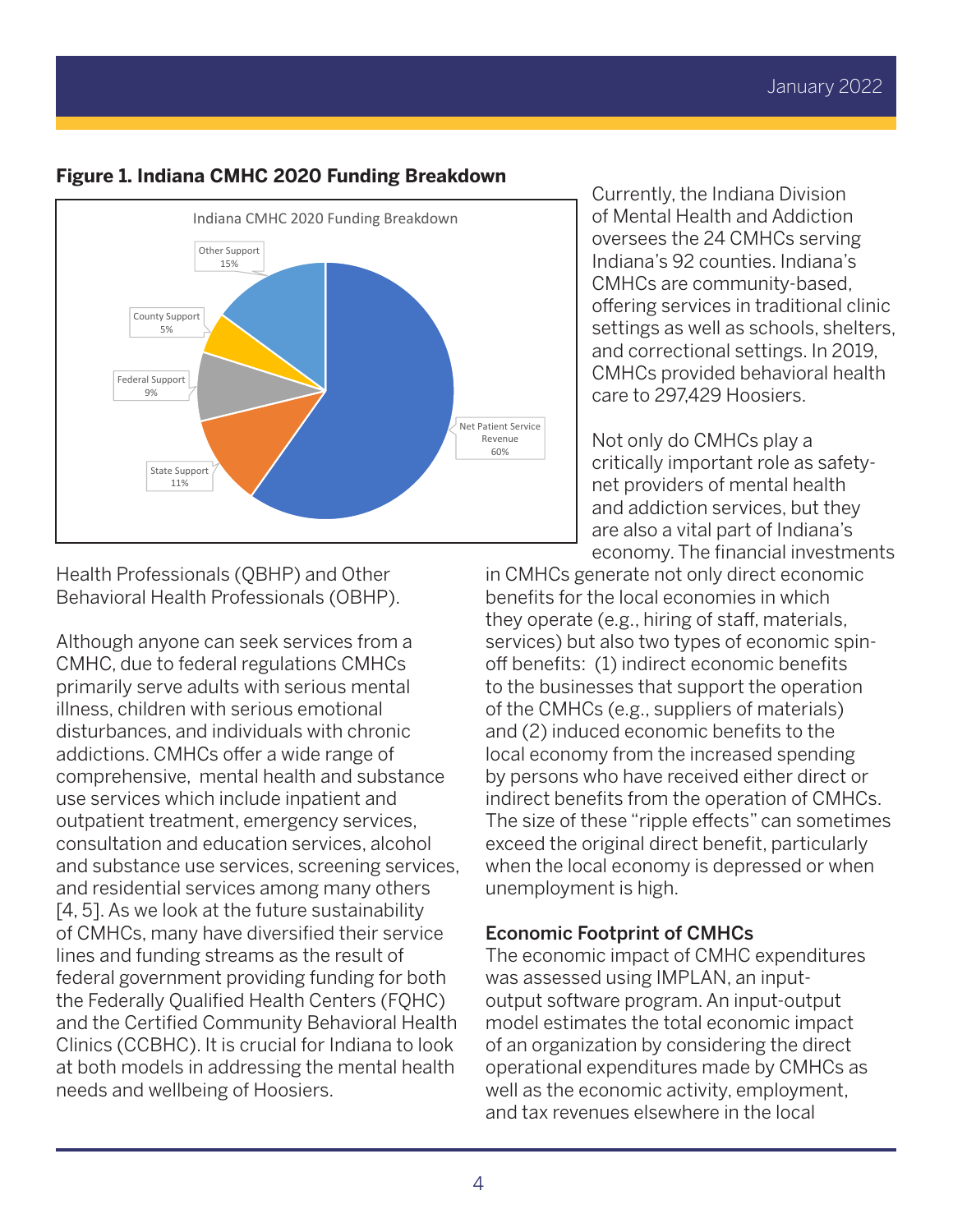

## **Figure 1. Indiana CMHC 2020 Funding Breakdown**

of Mental Health and Addiction oversees the 24 CMHCs serving Indiana's 92 counties. Indiana's CMHCs are community-based, offering services in traditional clinic settings as well as schools, shelters, and correctional settings. In 2019, CMHCs provided behavioral health care to 297,429 Hoosiers.

Currently, the Indiana Division

Not only do CMHCs play a critically important role as safetynet providers of mental health and addiction services, but they are also a vital part of Indiana's economy. The financial investments

Health Professionals (QBHP) and Other Behavioral Health Professionals (OBHP).

Although anyone can seek services from a CMHC, due to federal regulations CMHCs primarily serve adults with serious mental illness, children with serious emotional disturbances, and individuals with chronic addictions. CMHCs offer a wide range of comprehensive, mental health and substance use services which include inpatient and outpatient treatment, emergency services, consultation and education services, alcohol and substance use services, screening services, and residential services among many others [4, 5]. As we look at the future sustainability of CMHCs, many have diversified their service lines and funding streams as the result of federal government providing funding for both the Federally Qualified Health Centers (FQHC) and the Certified Community Behavioral Health Clinics (CCBHC). It is crucial for Indiana to look at both models in addressing the mental health needs and wellbeing of Hoosiers.

in CMHCs generate not only direct economic benefits for the local economies in which they operate (e.g., hiring of staff, materials, services) but also two types of economic spinoff benefits: (1) indirect economic benefits to the businesses that support the operation of the CMHCs (e.g., suppliers of materials) and (2) induced economic benefits to the local economy from the increased spending by persons who have received either direct or indirect benefits from the operation of CMHCs. The size of these "ripple effects" can sometimes exceed the original direct benefit, particularly when the local economy is depressed or when unemployment is high.

## Economic Footprint of CMHCs

The economic impact of CMHC expenditures was assessed using IMPLAN, an inputoutput software program. An input-output model estimates the total economic impact of an organization by considering the direct operational expenditures made by CMHCs as well as the economic activity, employment, and tax revenues elsewhere in the local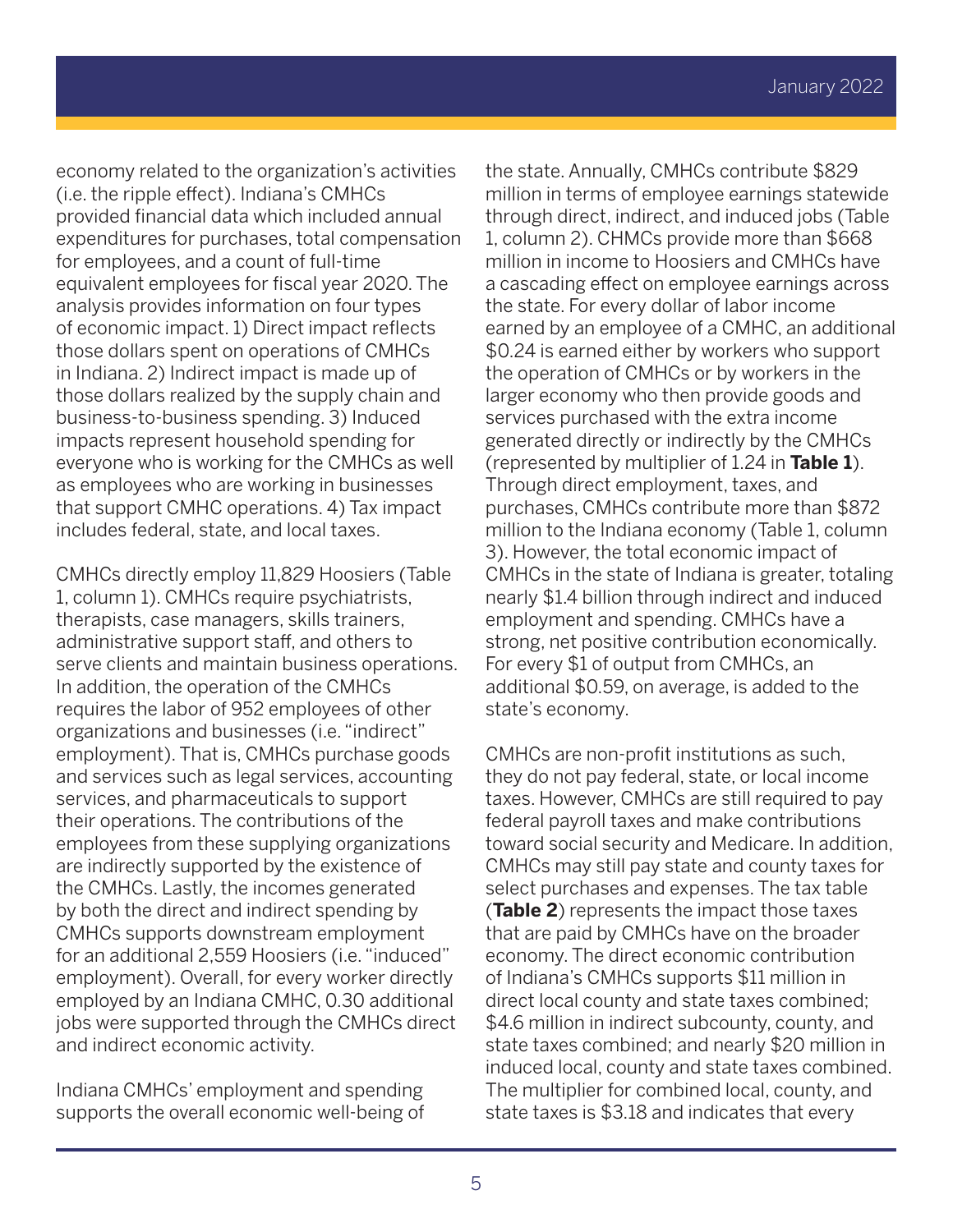economy related to the organization's activities (i.e. the ripple effect). Indiana's CMHCs provided financial data which included annual expenditures for purchases, total compensation for employees, and a count of full-time equivalent employees for fiscal year 2020. The analysis provides information on four types of economic impact. 1) Direct impact reflects those dollars spent on operations of CMHCs in Indiana. 2) Indirect impact is made up of those dollars realized by the supply chain and business-to-business spending. 3) Induced impacts represent household spending for everyone who is working for the CMHCs as well as employees who are working in businesses that support CMHC operations. 4) Tax impact includes federal, state, and local taxes.

CMHCs directly employ 11,829 Hoosiers (Table 1, column 1). CMHCs require psychiatrists, therapists, case managers, skills trainers, administrative support staff, and others to serve clients and maintain business operations. In addition, the operation of the CMHCs requires the labor of 952 employees of other organizations and businesses (i.e. "indirect" employment). That is, CMHCs purchase goods and services such as legal services, accounting services, and pharmaceuticals to support their operations. The contributions of the employees from these supplying organizations are indirectly supported by the existence of the CMHCs. Lastly, the incomes generated by both the direct and indirect spending by CMHCs supports downstream employment for an additional 2,559 Hoosiers (i.e. "induced" employment). Overall, for every worker directly employed by an Indiana CMHC, 0.30 additional jobs were supported through the CMHCs direct and indirect economic activity.

Indiana CMHCs' employment and spending supports the overall economic well-being of

the state. Annually, CMHCs contribute \$829 million in terms of employee earnings statewide through direct, indirect, and induced jobs (Table 1, column 2). CHMCs provide more than \$668 million in income to Hoosiers and CMHCs have a cascading effect on employee earnings across the state. For every dollar of labor income earned by an employee of a CMHC, an additional \$0.24 is earned either by workers who support the operation of CMHCs or by workers in the larger economy who then provide goods and services purchased with the extra income generated directly or indirectly by the CMHCs (represented by multiplier of 1.24 in **Table 1**). Through direct employment, taxes, and purchases, CMHCs contribute more than \$872 million to the Indiana economy (Table 1, column 3). However, the total economic impact of CMHCs in the state of Indiana is greater, totaling nearly \$1.4 billion through indirect and induced employment and spending. CMHCs have a strong, net positive contribution economically. For every \$1 of output from CMHCs, an additional \$0.59, on average, is added to the state's economy.

CMHCs are non-profit institutions as such, they do not pay federal, state, or local income taxes. However, CMHCs are still required to pay federal payroll taxes and make contributions toward social security and Medicare. In addition, CMHCs may still pay state and county taxes for select purchases and expenses. The tax table (**Table 2**) represents the impact those taxes that are paid by CMHCs have on the broader economy. The direct economic contribution of Indiana's CMHCs supports \$11 million in direct local county and state taxes combined; \$4.6 million in indirect subcounty, county, and state taxes combined; and nearly \$20 million in induced local, county and state taxes combined. The multiplier for combined local, county, and state taxes is \$3.18 and indicates that every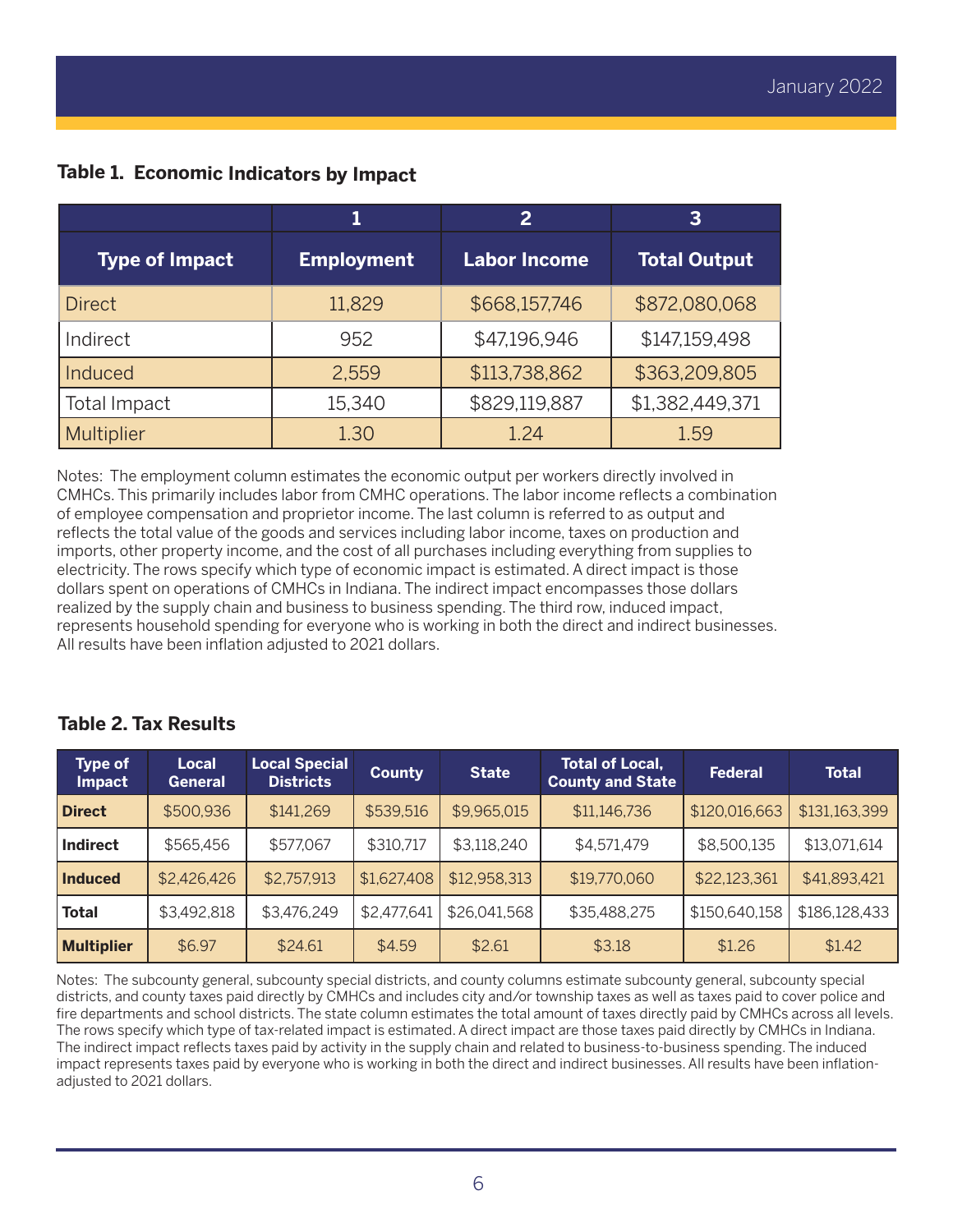**Table 1. Economic Indicators by Impact**

|                        |                   | $\overline{2}$      | 3                   |  |
|------------------------|-------------------|---------------------|---------------------|--|
| <b>Type of Impact</b>  | <b>Employment</b> | <b>Labor Income</b> | <b>Total Output</b> |  |
| <b>Direct</b>          | 11,829            | \$668,157,746       | \$872,080,068       |  |
| Indirect               | 952               | \$47,196,946        | \$147,159,498       |  |
| Induced                | 2,559             | \$113,738,862       | \$363,209,805       |  |
| 15,340<br>Total Impact |                   | \$829,119,887       | \$1,382,449,371     |  |
| Multiplier             | 1.30              | 1.24                | 1.59                |  |

Notes: The employment column estimates the economic output per workers directly involved in CMHCs. This primarily includes labor from CMHC operations. The labor income reflects a combination of employee compensation and proprietor income. The last column is referred to as output and reflects the total value of the goods and services including labor income, taxes on production and imports, other property income, and the cost of all purchases including everything from supplies to electricity. The rows specify which type of economic impact is estimated. A direct impact is those dollars spent on operations of CMHCs in Indiana. The indirect impact encompasses those dollars realized by the supply chain and business to business spending. The third row, induced impact, represents household spending for everyone who is working in both the direct and indirect businesses. All results have been inflation adjusted to 2021 dollars.

|  |  |  | <b>Table 2. Tax Results</b> |
|--|--|--|-----------------------------|
|--|--|--|-----------------------------|

| <b>Type of</b><br>Impact | Local<br>General | <b>Local Special</b><br><b>Districts</b> | <b>County</b> | <b>State</b> | <b>Total of Local,</b><br><b>County and State</b> | <b>Federal</b> | <b>Total</b>  |
|--------------------------|------------------|------------------------------------------|---------------|--------------|---------------------------------------------------|----------------|---------------|
| <b>Direct</b>            | \$500,936        | \$141,269                                | \$539,516     | \$9,965,015  | \$11,146,736                                      | \$120,016,663  | \$131,163,399 |
| <b>Indirect</b>          | \$565,456        | \$577,067                                | \$310,717     | \$3,118,240  | \$4,571,479                                       | \$8,500,135    | \$13,071,614  |
| <b>Induced</b>           | \$2,426,426      | \$2,757,913                              | \$1,627,408   | \$12,958,313 | \$19,770,060                                      | \$22,123,361   | \$41,893,421  |
| <b>Total</b>             | \$3,492,818      | \$3,476,249                              | \$2,477,641   | \$26,041,568 | \$35,488,275                                      | \$150,640,158  | \$186,128,433 |
| <b>Multiplier</b>        | \$6.97           | \$24.61                                  | \$4.59        | \$2.61       | \$3.18                                            | \$1.26         | \$1.42        |

Notes: The subcounty general, subcounty special districts, and county columns estimate subcounty general, subcounty special districts, and county taxes paid directly by CMHCs and includes city and/or township taxes as well as taxes paid to cover police and fire departments and school districts. The state column estimates the total amount of taxes directly paid by CMHCs across all levels. The rows specify which type of tax-related impact is estimated. A direct impact are those taxes paid directly by CMHCs in Indiana. The indirect impact reflects taxes paid by activity in the supply chain and related to business-to-business spending. The induced impact represents taxes paid by everyone who is working in both the direct and indirect businesses. All results have been inflationadjusted to 2021 dollars.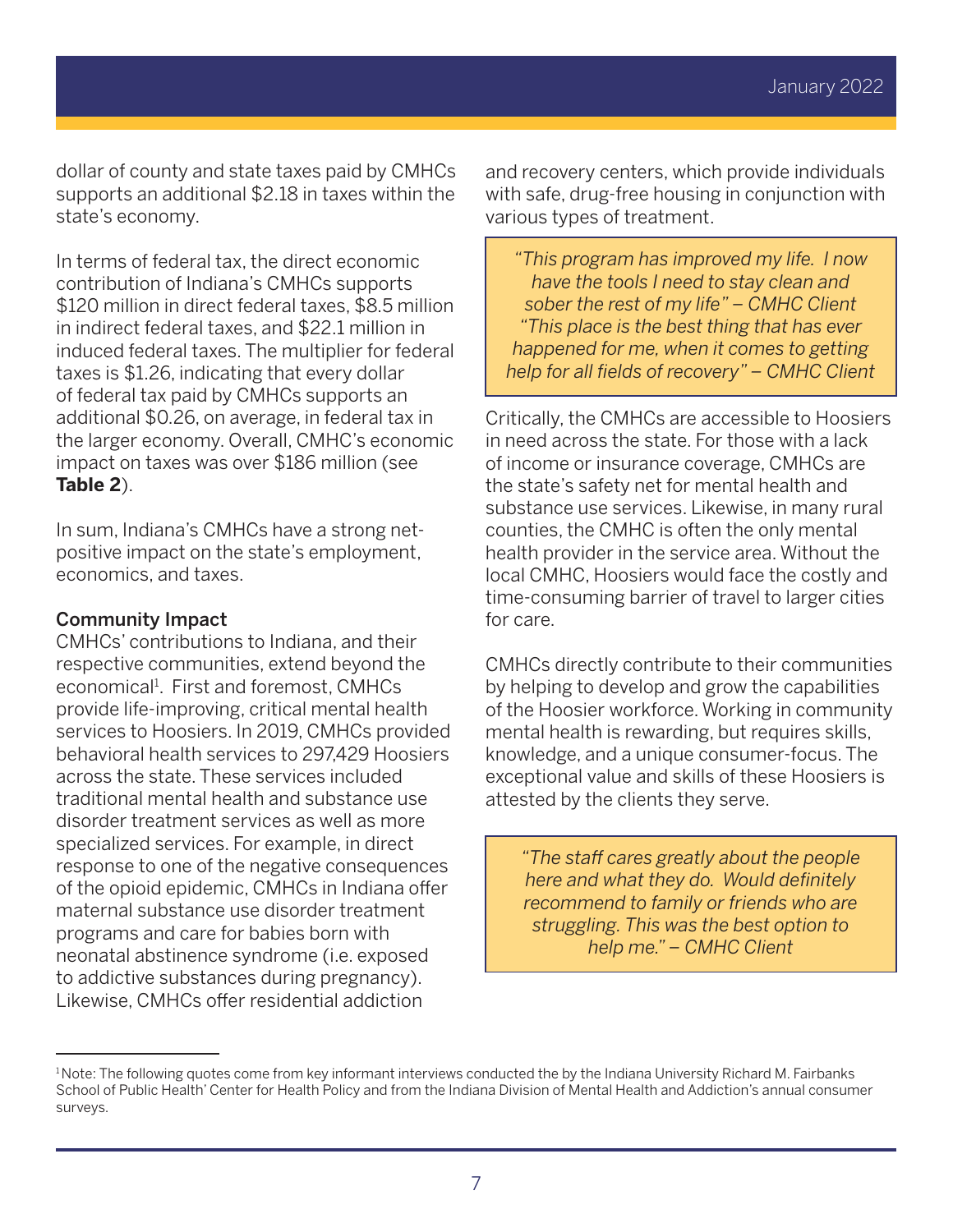dollar of county and state taxes paid by CMHCs supports an additional \$2.18 in taxes within the state's economy.

In terms of federal tax, the direct economic contribution of Indiana's CMHCs supports \$120 million in direct federal taxes, \$8.5 million in indirect federal taxes, and \$22.1 million in induced federal taxes. The multiplier for federal taxes is \$1.26, indicating that every dollar of federal tax paid by CMHCs supports an additional \$0.26, on average, in federal tax in the larger economy. Overall, CMHC's economic impact on taxes was over \$186 million (see **Table 2**).

In sum, Indiana's CMHCs have a strong netpositive impact on the state's employment, economics, and taxes.

#### Community Impact

CMHCs' contributions to Indiana, and their respective communities, extend beyond the economical<sup>1</sup>. First and foremost, CMHCs provide life-improving, critical mental health services to Hoosiers. In 2019, CMHCs provided behavioral health services to 297,429 Hoosiers across the state. These services included traditional mental health and substance use disorder treatment services as well as more specialized services. For example, in direct response to one of the negative consequences of the opioid epidemic, CMHCs in Indiana offer maternal substance use disorder treatment programs and care for babies born with neonatal abstinence syndrome (i.e. exposed to addictive substances during pregnancy). Likewise, CMHCs offer residential addiction

and recovery centers, which provide individuals with safe, drug-free housing in conjunction with various types of treatment.

*"This program has improved my life. I now have the tools I need to stay clean and sober the rest of my life" – CMHC Client "This place is the best thing that has ever happened for me, when it comes to getting help for all fields of recovery" – CMHC Client*

Critically, the CMHCs are accessible to Hoosiers in need across the state. For those with a lack of income or insurance coverage, CMHCs are the state's safety net for mental health and substance use services. Likewise, in many rural counties, the CMHC is often the only mental health provider in the service area. Without the local CMHC, Hoosiers would face the costly and time-consuming barrier of travel to larger cities for care.

CMHCs directly contribute to their communities by helping to develop and grow the capabilities of the Hoosier workforce. Working in community mental health is rewarding, but requires skills, knowledge, and a unique consumer-focus. The exceptional value and skills of these Hoosiers is attested by the clients they serve.

*"The staff cares greatly about the people here and what they do. Would definitely recommend to family or friends who are struggling. This was the best option to help me." – CMHC Client*

<sup>&</sup>lt;sup>1</sup> Note: The following quotes come from key informant interviews conducted the by the Indiana University Richard M. Fairbanks School of Public Health' Center for Health Policy and from the Indiana Division of Mental Health and Addiction's annual consumer surveys.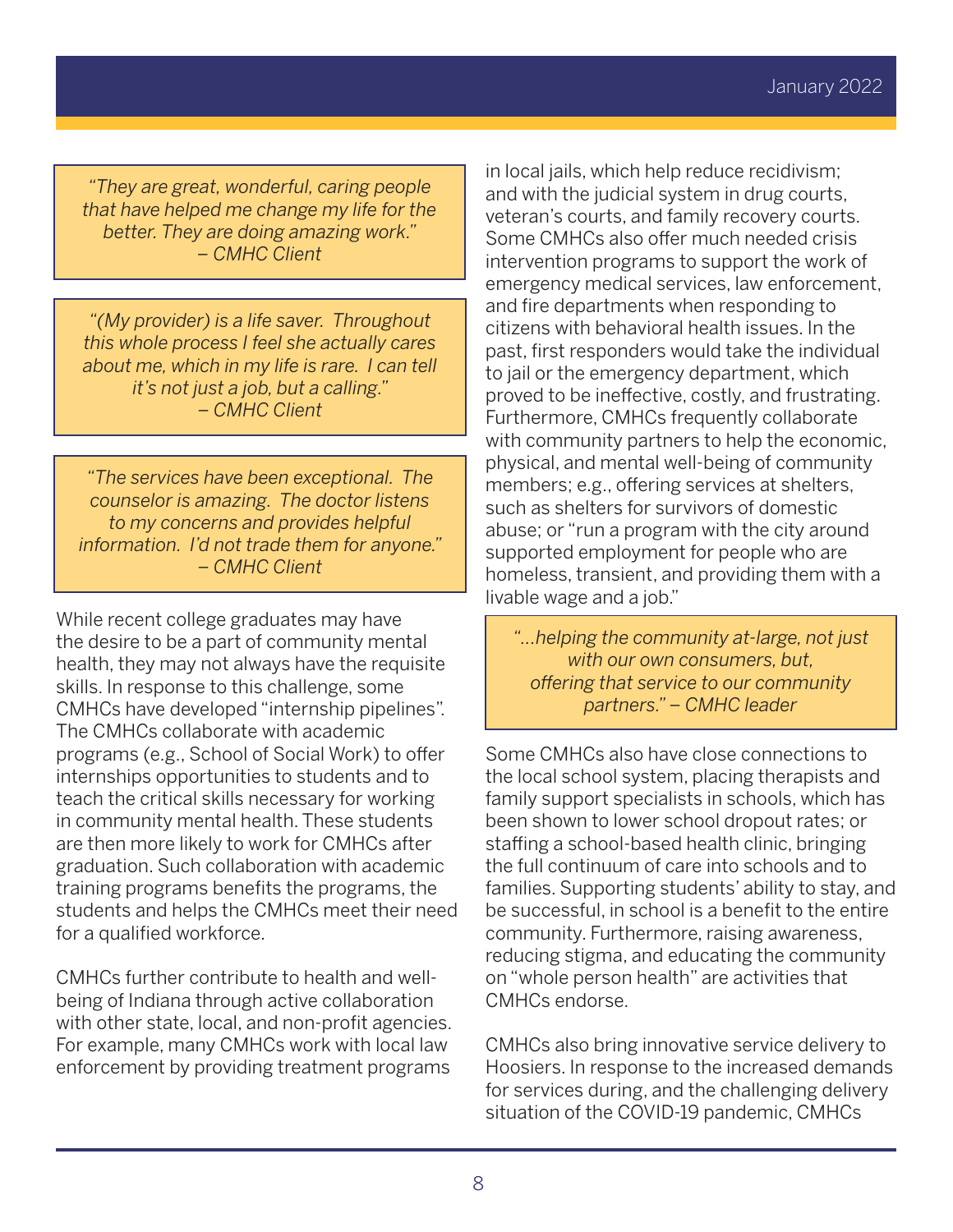*"They are great, wonderful, caring people that have helped me change my life for the better. They are doing amazing work." – CMHC Client*

*"(My provider) is a life saver. Throughout this whole process I feel she actually cares about me, which in my life is rare. I can tell it's not just a job, but a calling." – CMHC Client*

*"The services have been exceptional. The counselor is amazing. The doctor listens to my concerns and provides helpful information. I'd not trade them for anyone." – CMHC Client*

While recent college graduates may have the desire to be a part of community mental health, they may not always have the requisite skills. In response to this challenge, some CMHCs have developed "internship pipelines". The CMHCs collaborate with academic programs (e.g., School of Social Work) to offer internships opportunities to students and to teach the critical skills necessary for working in community mental health. These students are then more likely to work for CMHCs after graduation. Such collaboration with academic training programs benefits the programs, the students and helps the CMHCs meet their need for a qualified workforce.

CMHCs further contribute to health and wellbeing of Indiana through active collaboration with other state, local, and non-profit agencies. For example, many CMHCs work with local law enforcement by providing treatment programs in local jails, which help reduce recidivism; and with the judicial system in drug courts, veteran's courts, and family recovery courts. Some CMHCs also offer much needed crisis intervention programs to support the work of emergency medical services, law enforcement, and fire departments when responding to citizens with behavioral health issues. In the past, first responders would take the individual to jail or the emergency department, which proved to be ineffective, costly, and frustrating. Furthermore, CMHCs frequently collaborate with community partners to help the economic, physical, and mental well-being of community members; e.g., offering services at shelters, such as shelters for survivors of domestic abuse; or "run a program with the city around supported employment for people who are homeless, transient, and providing them with a livable wage and a job."

*"...helping the community at-large, not just with our own consumers, but, offering that service to our community partners." – CMHC leader*

Some CMHCs also have close connections to the local school system, placing therapists and family support specialists in schools, which has been shown to lower school dropout rates; or staffing a school-based health clinic, bringing the full continuum of care into schools and to families. Supporting students' ability to stay, and be successful, in school is a benefit to the entire community. Furthermore, raising awareness, reducing stigma, and educating the community on "whole person health" are activities that CMHCs endorse.

CMHCs also bring innovative service delivery to Hoosiers. In response to the increased demands for services during, and the challenging delivery situation of the COVID-19 pandemic, CMHCs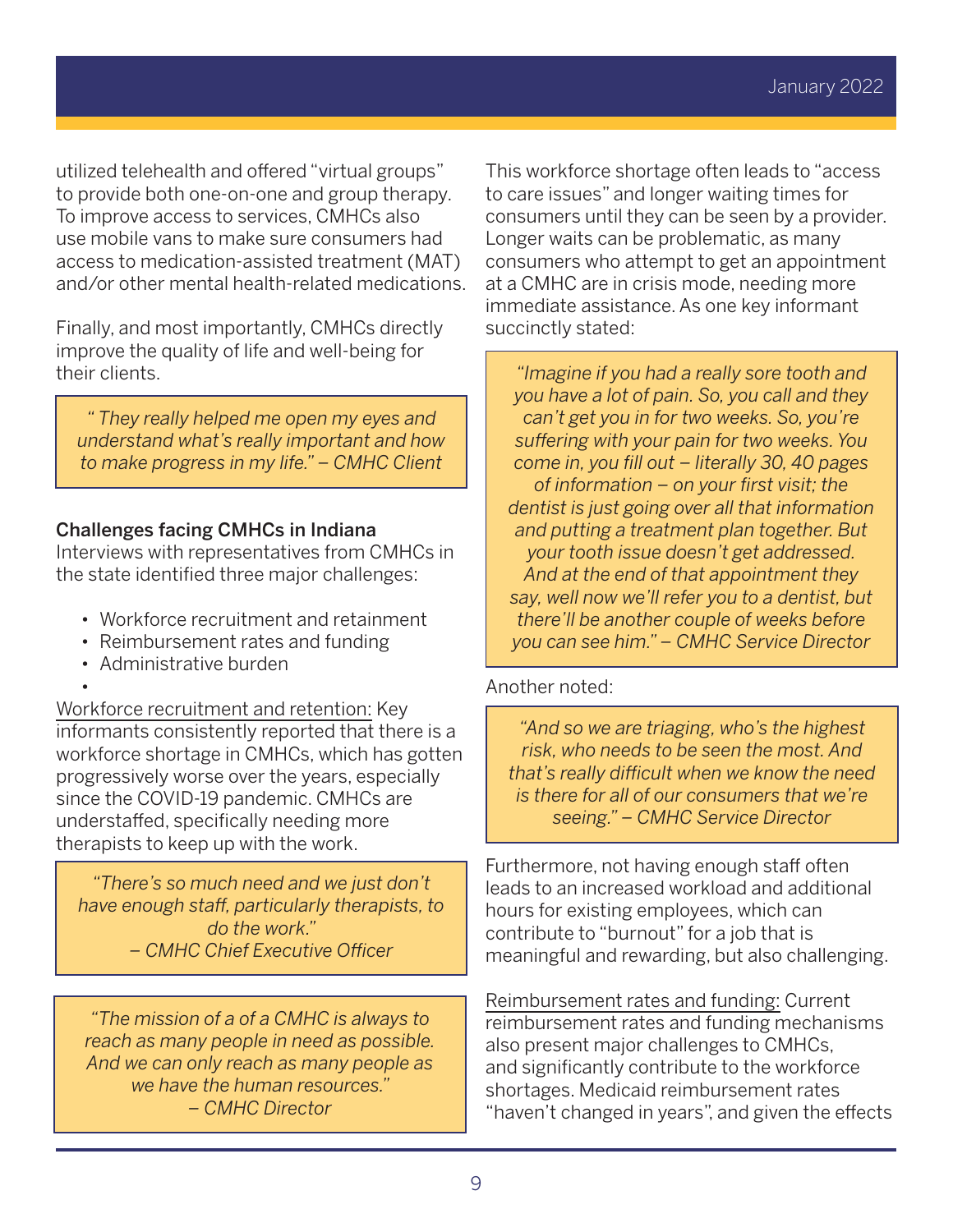utilized telehealth and offered "virtual groups" to provide both one-on-one and group therapy. To improve access to services, CMHCs also use mobile vans to make sure consumers had access to medication-assisted treatment (MAT) and/or other mental health-related medications.

Finally, and most importantly, CMHCs directly improve the quality of life and well-being for their clients.

*" They really helped me open my eyes and understand what's really important and how to make progress in my life." – CMHC Client*

## Challenges facing CMHCs in Indiana

Interviews with representatives from CMHCs in the state identified three major challenges:

- Workforce recruitment and retainment
- Reimbursement rates and funding
- Administrative burden

• Workforce recruitment and retention: Key informants consistently reported that there is a workforce shortage in CMHCs, which has gotten progressively worse over the years, especially since the COVID-19 pandemic. CMHCs are understaffed, specifically needing more therapists to keep up with the work.

*"There's so much need and we just don't have enough staff, particularly therapists, to do the work." – CMHC Chief Executive Officer*

*"The mission of a of a CMHC is always to reach as many people in need as possible. And we can only reach as many people as we have the human resources." – CMHC Director*

This workforce shortage often leads to "access to care issues" and longer waiting times for consumers until they can be seen by a provider. Longer waits can be problematic, as many consumers who attempt to get an appointment at a CMHC are in crisis mode, needing more immediate assistance. As one key informant succinctly stated:

*"Imagine if you had a really sore tooth and you have a lot of pain. So, you call and they can't get you in for two weeks. So, you're suffering with your pain for two weeks. You come in, you fill out – literally 30, 40 pages of information – on your first visit; the dentist is just going over all that information and putting a treatment plan together. But your tooth issue doesn't get addressed. And at the end of that appointment they say, well now we'll refer you to a dentist, but there'll be another couple of weeks before you can see him." – CMHC Service Director*

## Another noted:

*"And so we are triaging, who's the highest risk, who needs to be seen the most. And that's really difficult when we know the need is there for all of our consumers that we're seeing." – CMHC Service Director*

Furthermore, not having enough staff often leads to an increased workload and additional hours for existing employees, which can contribute to "burnout" for a job that is meaningful and rewarding, but also challenging.

Reimbursement rates and funding: Current reimbursement rates and funding mechanisms also present major challenges to CMHCs, and significantly contribute to the workforce shortages. Medicaid reimbursement rates "haven't changed in years", and given the effects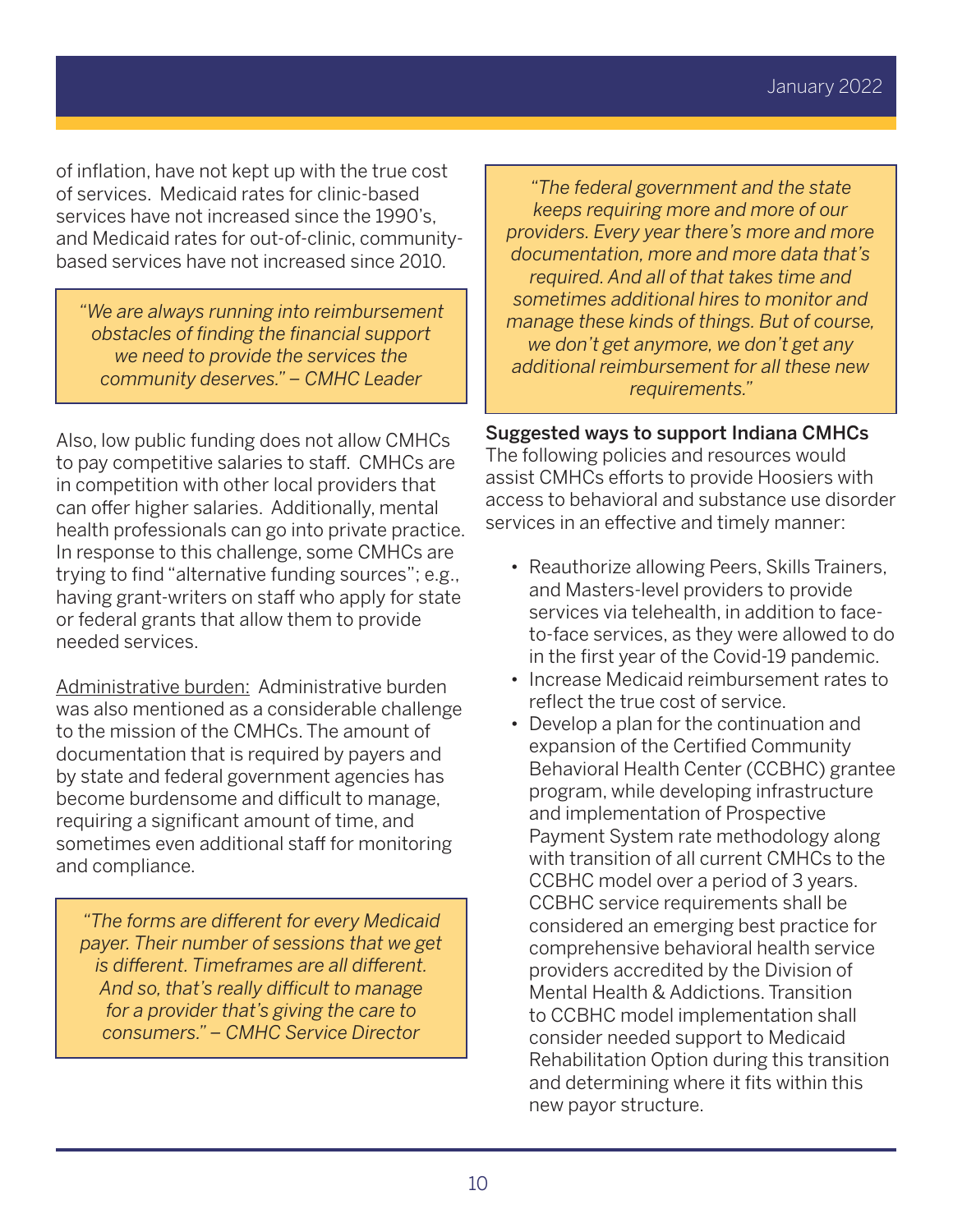of inflation, have not kept up with the true cost of services. Medicaid rates for clinic-based services have not increased since the 1990's, and Medicaid rates for out-of-clinic, communitybased services have not increased since 2010.

*"We are always running into reimbursement obstacles of finding the financial support we need to provide the services the community deserves." – CMHC Leader*

Also, low public funding does not allow CMHCs to pay competitive salaries to staff. CMHCs are in competition with other local providers that can offer higher salaries. Additionally, mental health professionals can go into private practice. In response to this challenge, some CMHCs are trying to find "alternative funding sources"; e.g., having grant-writers on staff who apply for state or federal grants that allow them to provide needed services.

Administrative burden: Administrative burden was also mentioned as a considerable challenge to the mission of the CMHCs. The amount of documentation that is required by payers and by state and federal government agencies has become burdensome and difficult to manage, requiring a significant amount of time, and sometimes even additional staff for monitoring and compliance.

*"The forms are different for every Medicaid payer. Their number of sessions that we get is different. Timeframes are all different. And so, that's really difficult to manage for a provider that's giving the care to consumers." – CMHC Service Director*

*"The federal government and the state keeps requiring more and more of our providers. Every year there's more and more documentation, more and more data that's required. And all of that takes time and sometimes additional hires to monitor and manage these kinds of things. But of course, we don't get anymore, we don't get any additional reimbursement for all these new requirements."*

Suggested ways to support Indiana CMHCs The following policies and resources would assist CMHCs efforts to provide Hoosiers with access to behavioral and substance use disorder

services in an effective and timely manner:

- Reauthorize allowing Peers, Skills Trainers, and Masters-level providers to provide services via telehealth, in addition to faceto-face services, as they were allowed to do in the first year of the Covid-19 pandemic.
- Increase Medicaid reimbursement rates to reflect the true cost of service.
- Develop a plan for the continuation and expansion of the Certified Community Behavioral Health Center (CCBHC) grantee program, while developing infrastructure and implementation of Prospective Payment System rate methodology along with transition of all current CMHCs to the CCBHC model over a period of 3 years. CCBHC service requirements shall be considered an emerging best practice for comprehensive behavioral health service providers accredited by the Division of Mental Health & Addictions. Transition to CCBHC model implementation shall consider needed support to Medicaid Rehabilitation Option during this transition and determining where it fits within this new payor structure.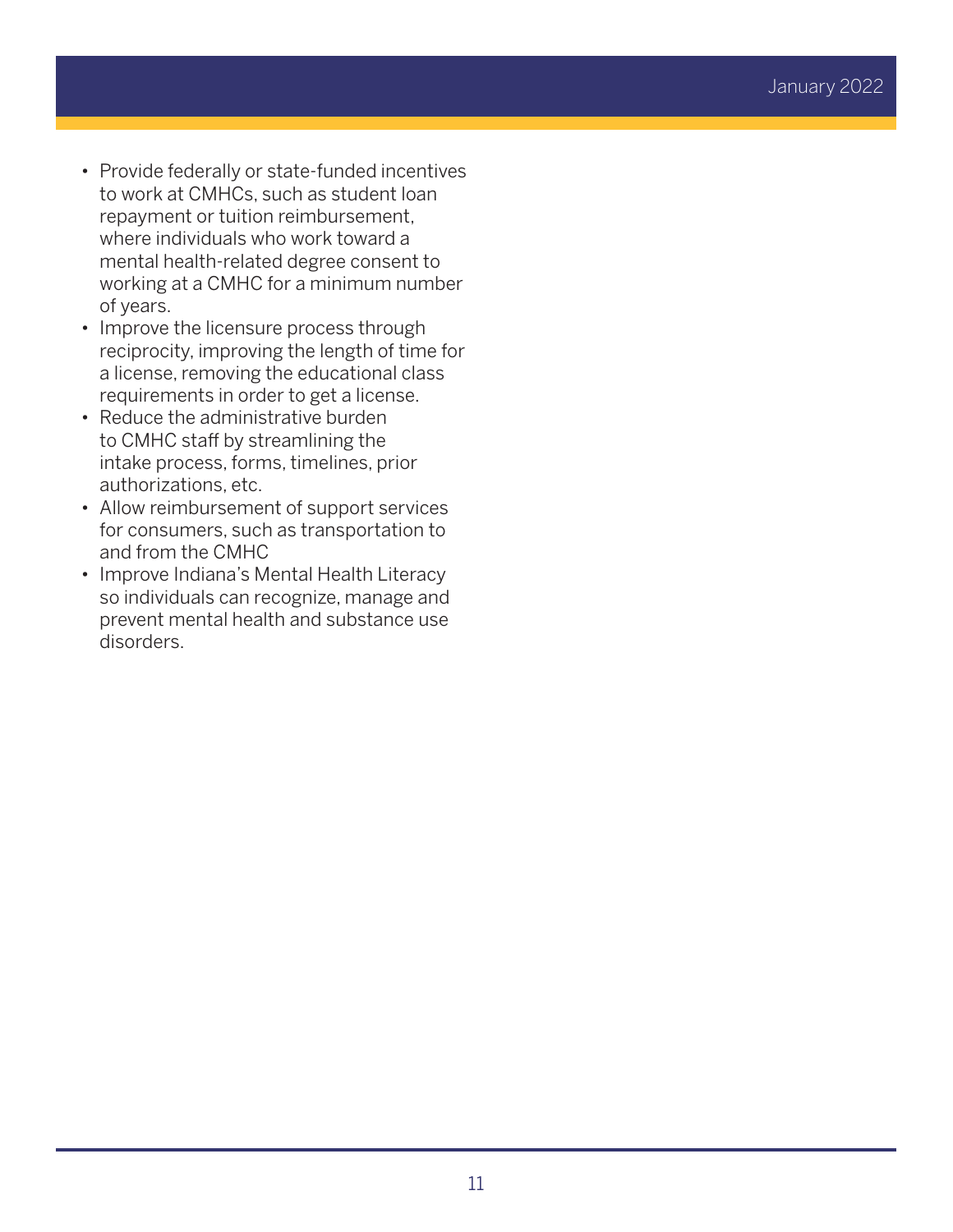- Provide federally or state-funded incentives to work at CMHCs, such as student loan repayment or tuition reimbursement, where individuals who work toward a mental health-related degree consent to working at a CMHC for a minimum number of years.
- Improve the licensure process through reciprocity, improving the length of time for a license, removing the educational class requirements in order to get a license.
- Reduce the administrative burden to CMHC staff by streamlining the intake process, forms, timelines, prior authorizations, etc.
- Allow reimbursement of support services for consumers, such as transportation to and from the CMHC
- Improve Indiana's Mental Health Literacy so individuals can recognize, manage and prevent mental health and substance use disorders.